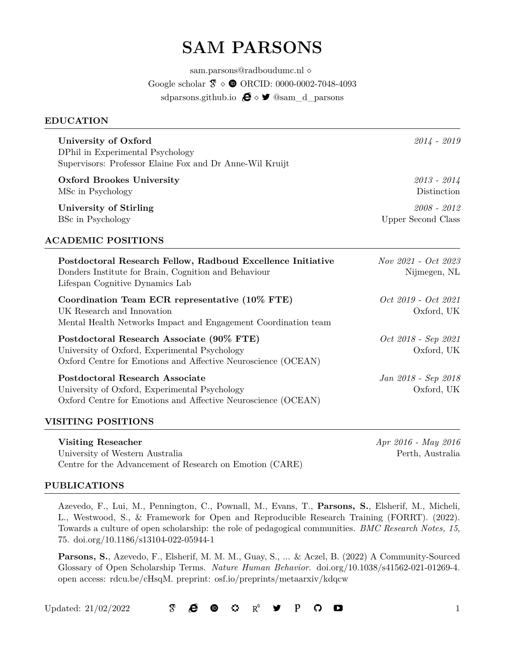# **SAM PARSONS**

[sam.parsons@radboudumc.nl](mailto:sam.parsons@radboudumc.nl) *⋄* [Google scholar](https://scholar.google.co.uk/citations?user=kE37Xy4AAAAJ&hl=en)  $\mathfrak{F} \circ \mathfrak{D}$  ORCID: [0000-0002-7048-4093](http://orcid.org/0000-0002-7048-4093) [sdparsons.github.io](https://sdparsons.github.io/)  $\bigoplus$  ◇ <sup>*◆*</sup> 
<u>◎sam\_d\_parsons</u>

#### <span id="page-0-0"></span>**EDUCATION**

| University of Oxford<br>DPhil in Experimental Psychology<br>Supervisors: Professor Elaine Fox and Dr Anne-Wil Kruijt                                        | $2014 - 2019$                              |
|-------------------------------------------------------------------------------------------------------------------------------------------------------------|--------------------------------------------|
| <b>Oxford Brookes University</b><br>MSc in Psychology                                                                                                       | $2013 - 2014$<br>Distinction               |
| University of Stirling<br>BSc in Psychology                                                                                                                 | $2008 - 2012$<br><b>Upper Second Class</b> |
| <b>ACADEMIC POSITIONS</b>                                                                                                                                   |                                            |
| Postdoctoral Research Fellow, Radboud Excellence Initiative<br>Donders Institute for Brain, Cognition and Behaviour<br>Lifespan Cognitive Dynamics Lab      | Nov 2021 - Oct 2023<br>Nijmegen, NL        |
| Coordination Team ECR representative (10% FTE)<br>UK Research and Innovation<br>Mental Health Networks Impact and Engagement Coordination team              | Oct 2019 - Oct 2021<br>Oxford, UK          |
| Postdoctoral Research Associate (90% FTE)<br>University of Oxford, Experimental Psychology<br>Oxford Centre for Emotions and Affective Neuroscience (OCEAN) | Oct 2018 - Sep 2021<br>Oxford, UK          |
| Postdoctoral Research Associate<br>University of Oxford, Experimental Psychology<br>Oxford Centre for Emotions and Affective Neuroscience (OCEAN)           | Jan 2018 - Sep 2018<br>Oxford, UK          |

### **VISITING POSITIONS**

**Visiting Reseacher** *Apr 2016 - May 2016* University of Western Australia Perth, Australia Centre for the Advancement of Research on Emotion (CARE)

#### **PUBLICATIONS**

Azevedo, F., Lui, M., Pennington, C., Pownall, M., Evans, T., **Parsons, S.**, Elsherif, M., Micheli, L., Westwood, S., & Framework for Open and Reproducible Research Training (FORRT). (2022). Towards a culture of open scholarship: the role of pedagogical communities. *BMC Research Notes, 15*, 75. [doi.org/10.1186/s13104-022-05944-1](https://doi.org/10.1186/s13104-022-05944-1)

**Parsons, S.**, Azevedo, F., Elsherif, M. M. M., Guay, S., ... & Aczel, B. (2022) A Community-Sourced Glossary of Open Scholarship Terms. *Nature Human Behavior*. [doi.org/10.1038/s41562-021-01269-4.](https://doi.org/10.1038/s41562-021-01269-4) open access: rdcu.be/cHsqM. preprint: [osf.io/preprints/metaarxiv/kdqcw](https://osf.io/preprints/metaarxiv/kdqcw)

#### Updated: 21/02/2022 1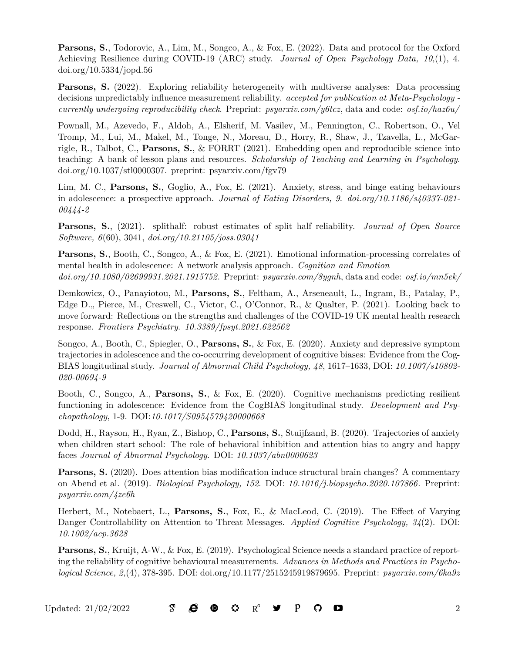**Parsons, S.**, Todorovic, A., Lim, M., Songco, A., & Fox, E. (2022). Data and protocol for the Oxford Achieving Resilience during COVID-19 (ARC) study. *Journal of Open Psychology Data, 10*,(1), 4. [doi.org/10.5334/jopd.56](http://doi.org/10.5334/jopd.56)

**Parsons, S.** (2022). Exploring reliability heterogeneity with multiverse analyses: Data processing decisions unpredictably influence measurement reliability. *accepted for publication at Meta-Psychology currently undergoing reproducibility check*. Preprint: *[psyarxiv.com/y6tcz](https://psyarxiv.com/y6tcz)*, data and code: *[osf.io/haz6u/](https://osf.io/haz6u/)*

Pownall, M., Azevedo, F., Aldoh, A., Elsherif, M. Vasilev, M., Pennington, C., Robertson, O., Vel Tromp, M., Lui, M., Makel, M., Tonge, N., Moreau, D., Horry, R., Shaw, J., Tzavella, L., McGarrigle, R., Talbot, C., **Parsons, S.**, & FORRT (2021). Embedding open and reproducible science into teaching: A bank of lesson plans and resources. *Scholarship of Teaching and Learning in Psychology*. [doi.org/10.1037/stl0000307.](https://doi.org/10.1037/stl0000307) preprint: [psyarxiv.com/fgv79](https://psyarxiv.com/fgv79)

Lim, M. C., **Parsons, S.**, Goglio, A., Fox, E. (2021). Anxiety, stress, and binge eating behaviours in adolescence: a prospective approach. *Journal of Eating Disorders, 9*. *[doi.org/10.1186/s40337-021-](https://doi.org/10.1186/s40337-021-00444-2) [00444-2](https://doi.org/10.1186/s40337-021-00444-2)*

**Parsons, S.**, (2021). splithalf: robust estimates of split half reliability. *Journal of Open Source Software, 6*(60), 3041, *[doi.org/10.21105/joss.03041](https://doi.org/10.21105/joss.03041)*

**Parsons, S.**, Booth, C., Songco, A., & Fox, E. (2021). Emotional information-processing correlates of mental health in adolescence: A network analysis approach. *Cognition and Emotion [doi.org/10.1080/02699931.2021.1915752](https://doi.org/10.1080/02699931.2021.1915752)*. Preprint: *[psyarxiv.com/8ygnh](https://psyarxiv.com/8ygnh)*, data and code: *[osf.io/mn5ek/](https://osf.io/mn5ek/)*

Demkowicz, O., Panayiotou, M., **Parsons, S.**, Feltham, A., Arseneault, L., Ingram, B., Patalay, P., Edge D." Pierce, M., Creswell, C., Victor, C., O'Connor, R., & Qualter, P. (2021). Looking back to move forward: Reflections on the strengths and challenges of the COVID-19 UK mental health research response. *Frontiers Psychiatry*. *[10.3389/fpsyt.2021.622562](https://doi.org/10.3389/fpsyt.2021.622562)*

Songco, A., Booth, C., Spiegler, O., **Parsons, S.**, & Fox, E. (2020). Anxiety and depressive symptom trajectories in adolescence and the co-occurring development of cognitive biases: Evidence from the Cog-BIAS longitudinal study. *Journal of Abnormal Child Psychology, 48*, 1617–1633, DOI: *[10.1007/s10802-](https://doi.org/10.1007/s10802-020-00694-9) [020-00694-9](https://doi.org/10.1007/s10802-020-00694-9)*

Booth, C., Songco, A., **Parsons, S.**, & Fox, E. (2020). Cognitive mechanisms predicting resilient functioning in adolescence: Evidence from the CogBIAS longitudinal study. *Development and Psychopathology*, 1-9. DOI:*[10.1017/S0954579420000668](https://doi.org/10.1017/S0954579420000668)*

Dodd, H., Rayson, H., Ryan, Z., Bishop, C., **Parsons, S.**, Stuijfzand, B. (2020). Trajectories of anxiety when children start school: The role of behavioral inhibition and attention bias to angry and happy faces *Journal of Abnormal Psychology*. DOI: *[10.1037/abn0000623](https://doi.org/10.1037/abn0000623)*

**Parsons, S.** (2020). Does attention bias modification induce structural brain changes? A commentary on Abend et al. (2019). *Biological Psychology, 152*. DOI: *[10.1016/j.biopsycho.2020.107866](https://www.sciencedirect.com/science/article/pii/S0301051120300260)*. Preprint: *[psyarxiv.com/4ze6h](https://psyarxiv.com/4ze6h/)*

Herbert, M., Notebaert, L., **Parsons, S.**, Fox, E., & MacLeod, C. (2019). The Effect of Varying Danger Controllability on Attention to Threat Messages. *Applied Cognitive Psychology, 34*(2). DOI: *[10.1002/acp.3628](https://onlinelibrary.wiley.com/doi/abs/10.1002/acp.3628)*

**Parsons, S.**, Kruijt, A-W., & Fox, E. (2019). Psychological Science needs a standard practice of reporting the reliability of cognitive behavioural measurements. *Advances in Methods and Practices in Psychological Science, 2,*(4), 378-395. DOI: [doi.org/10.1177/2515245919879695.](https://doi.org/10.1177/2515245919879695) Preprint: *[psyarxiv.com/6ka9z](https://psyarxiv.com/6ka9z)*

Updated:  $21/02/2022$   $\sigma$   $\mathbf{C}$   $\mathbf{D}$   $\mathbf{C}$   $\mathbf{V}$   $\mathbf{P}$   $\mathbf{C}$   $\mathbf{D}$   $\mathbf{C}$   $\mathbf{D}$   $\mathbf{D}$   $\mathbf{C}$   $\mathbf{D}$   $\mathbf{D}$   $\mathbf{D}$   $\mathbf{D}$   $\mathbf{D}$   $\mathbf{D}$   $\mathbf{D}$   $\mathbf{D}$   $\mathbf{D}$   $\mathbf{D}$   $\mathbf{$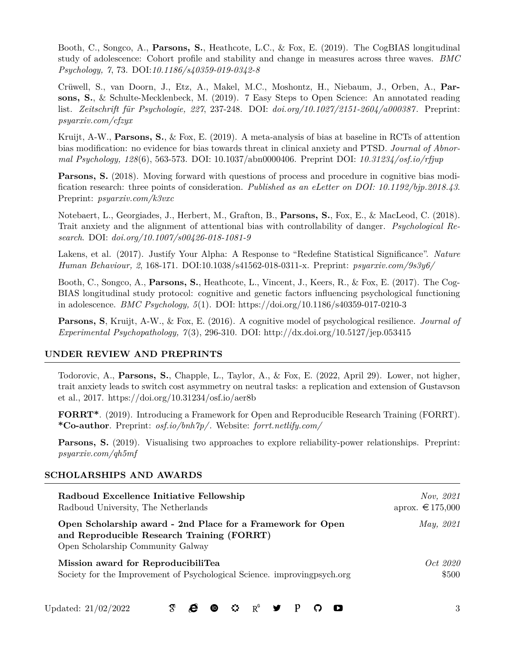Booth, C., Songco, A., **Parsons, S.**, Heathcote, L.C., & Fox, E. (2019). The CogBIAS longitudinal study of adolescence: Cohort profile and stability and change in measures across three waves. *BMC Psychology, 7*, 73. DOI:*[10.1186/s40359-019-0342-8](https://bmcpsychology.biomedcentral.com/articles/10.1186/s40359-019-0342-8)*

Crüwell, S., van Doorn, J., Etz, A., Makel, M.C., Moshontz, H., Niebaum, J., Orben, A., **Parsons, S.**, & Schulte-Mecklenbeck, M. (2019). 7 Easy Steps to Open Science: An annotated reading list. *Zeitschrift für Psychologie, 227*, 237-248. DOI: *[doi.org/10.1027/2151-2604/a000387](https://doi.org/10.1027/2151-2604/a000387)*. Preprint: *[psyarxiv.com/cfzyx](https://psyarxiv.com/cfzyx)*

Kruijt, A-W., **Parsons, S.**, & Fox, E. (2019). A meta-analysis of bias at baseline in RCTs of attention bias modification: no evidence for bias towards threat in clinical anxiety and PTSD. *Journal of Abnormal Psychology, 128*(6), 563-573. DOI: 10.1037/abn0000406. Preprint DOI: *[10.31234/osf.io/rfjup](#page-0-0)*

**Parsons, S.** (2018). Moving forward with questions of process and procedure in cognitive bias modification research: three points of consideration. *Published as an eLetter on [DOI: 10.1192/bjp.2018.43](https://doi.org/10.1192/bjp.2018.43)*. Preprint: *[psyarxiv.com/k3vxc](https://psyarxiv.com/k3vxc)*

Notebaert, L., Georgiades, J., Herbert, M., Grafton, B., **Parsons, S.**, Fox, E., & MacLeod, C. (2018). Trait anxiety and the alignment of attentional bias with controllability of danger. *Psychological Research*. DOI: *[doi.org/10.1007/s00426-018-1081-9](https://doi.org/10.1007/s00426-018-1081-9)*

Lakens, et al. (2017). Justify Your Alpha: A Response to "Redefine Statistical Significance". *Nature Human Behaviour, 2*, 168-171. DOI:[10.1038/s41562-018-0311-x](https://www.nature.com/articles/s41562-018-0311-x). Preprint: *[psyarxiv.com/9s3y6/](https://psyarxiv.com/9s3y6/)*

Booth, C., Songco, A., **Parsons, S.**, Heathcote, L., Vincent, J., Keers, R., & Fox, E. (2017). The Cog-BIAS longitudinal study protocol: cognitive and genetic factors influencing psychological functioning in adolescence. *BMC Psychology, 5*(1). DOI: https://doi.org/10.1186/s40359-017-0210-3

**Parsons, S**, Kruijt, A-W., & Fox, E. (2016). A cognitive model of psychological resilience. *Journal of Experimental Psychopathology, 7*(3), 296-310. DOI: http://dx.doi.org/10.5127/jep.053415

### **UNDER REVIEW AND PREPRINTS**

Todorovic, A., **Parsons, S.**, Chapple, L., Taylor, A., & Fox, E. (2022, April 29). Lower, not higher, trait anxiety leads to switch cost asymmetry on neutral tasks: a replication and extension of Gustavson et al., 2017. https://doi.org/10.31234/osf.io/aer8b

**FORRT\***. (2019). Introducing a Framework for Open and Reproducible Research Training (FORRT). **\*Co-author**. Preprint: *[osf.io/bnh7p/](https://osf.io/bnh7p/)*. Website: *[forrt.netlify.com/](https://forrt.netlify.com/)*

**Parsons, S.** (2019). Visualising two approaches to explore reliability-power relationships. Preprint: *[psyarxiv.com/qh5mf](https://psyarxiv.com/qh5mf)*

### **SCHOLARSHIPS AND AWARDS**

| Radboud Excellence Initiative Fellowship                                                                                                       | <i>Nov, 2021</i> |
|------------------------------------------------------------------------------------------------------------------------------------------------|------------------|
| Radboud University, The Netherlands                                                                                                            | aprox. € 175,000 |
| Open Scholarship award - 2nd Place for a Framework for Open<br>and Reproducible Research Training (FORRT)<br>Open Scholarship Community Galway | May, 2021        |
| Mission award for ReproducibiliTea                                                                                                             | <i>Oct</i> 2020  |
| Society for the Improvement of Psychological Science. improving psych.org                                                                      | \$500            |

Updated:  $21/02/2022$   $\sigma$   $\mathbf{C}$   $\mathbf{D}$   $\mathbf{C}$   $\mathbf{V}$   $\mathbf{P}$   $\mathbf{C}$   $\mathbf{D}$   $\mathbf{S}$  3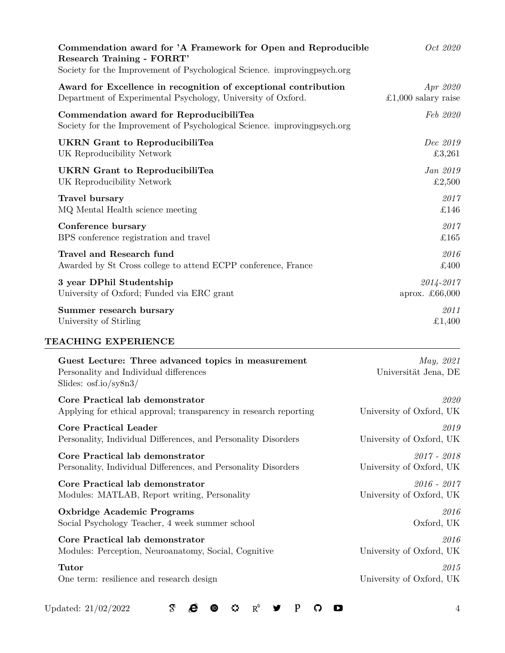| Commendation award for 'A Framework for Open and Reproducible<br><b>Research Training - FORRT'</b><br>Society for the Improvement of Psychological Science. improving psych.org | Oct 2020                          |
|---------------------------------------------------------------------------------------------------------------------------------------------------------------------------------|-----------------------------------|
| Award for Excellence in recognition of exceptional contribution                                                                                                                 | Apr 2020                          |
| Department of Experimental Psychology, University of Oxford.                                                                                                                    | £1,000 salary raise               |
| Commendation award for ReproducibiliTea<br>Society for the Improvement of Psychological Science. improving psych.org                                                            | Feb 2020                          |
| UKRN Grant to ReproducibiliTea                                                                                                                                                  | Dec 2019                          |
| UK Reproducibility Network                                                                                                                                                      | £3,261                            |
| <b>UKRN</b> Grant to ReproducibiliTea                                                                                                                                           | Jan 2019                          |
| UK Reproducibility Network                                                                                                                                                      | £2,500                            |
| Travel bursary                                                                                                                                                                  | 2017                              |
| MQ Mental Health science meeting                                                                                                                                                | £146                              |
| Conference bursary                                                                                                                                                              | 2017                              |
| BPS conference registration and travel                                                                                                                                          | £165                              |
| Travel and Research fund                                                                                                                                                        | 2016                              |
| Awarded by St Cross college to attend ECPP conference, France                                                                                                                   | £400                              |
| 3 year DPhil Studentship                                                                                                                                                        | 2014-2017                         |
| University of Oxford; Funded via ERC grant                                                                                                                                      | aprox. $\pounds 66,000$           |
| Summer research bursary                                                                                                                                                         | 2011                              |
| University of Stirling                                                                                                                                                          | £1,400                            |
| TEACHING EXPERIENCE                                                                                                                                                             |                                   |
| Guest Lecture: Three advanced topics in measurement<br>Personality and Individual differences<br>Slides: $\frac{\text{osfio}}{\text{sysn3}}$                                    | May, 2021<br>Universität Jena, DE |
| Core Practical lab demonstrator                                                                                                                                                 | 2020                              |
| Applying for ethical approval; transparency in research reporting                                                                                                               | University of Oxford, UK          |
| <b>Core Practical Leader</b>                                                                                                                                                    | 2019                              |
| Personality, Individual Differences, and Personality Disorders                                                                                                                  | University of Oxford, UK          |
| Core Practical lab demonstrator                                                                                                                                                 | $2017 - 2018$                     |
| Personality, Individual Differences, and Personality Disorders                                                                                                                  | University of Oxford, UK          |
| Core Practical lab demonstrator                                                                                                                                                 | $2016 - 2017$                     |
| Modules: MATLAB, Report writing, Personality                                                                                                                                    | University of Oxford, UK          |
| <b>Oxbridge Academic Programs</b>                                                                                                                                               | 2016                              |
| Social Psychology Teacher, 4 week summer school                                                                                                                                 | Oxford, UK                        |
| Core Practical lab demonstrator                                                                                                                                                 | 2016                              |
| Modules: Perception, Neuroanatomy, Social, Cognitive                                                                                                                            | University of Oxford, UK          |
| <b>Tutor</b>                                                                                                                                                                    | 2015                              |

One term: resilience and research design University of Oxford, UK

Updated: 21/02/2022  $\sigma$   $\sigma$   $\sigma$   $\sigma$   $\sigma$   $\sigma$   $P$   $\sigma$   $\sigma$  4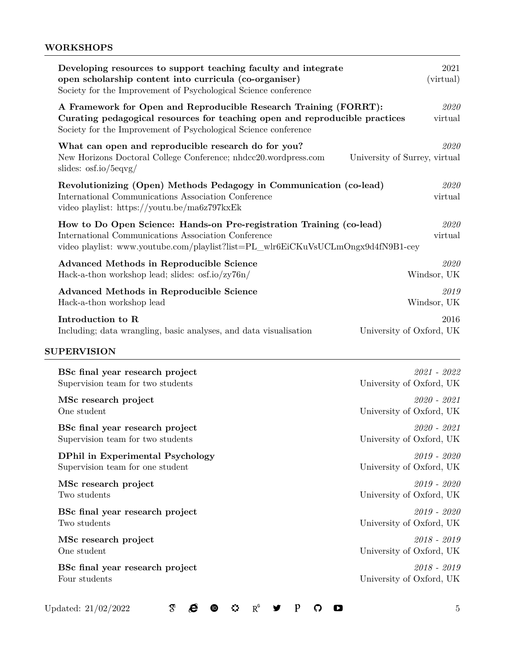# **WORKSHOPS**

| Developing resources to support teaching faculty and integrate<br>open scholarship content into curricula (co-organiser)<br>Society for the Improvement of Psychological Science conference                        | 2021<br>(virtual)                         |
|--------------------------------------------------------------------------------------------------------------------------------------------------------------------------------------------------------------------|-------------------------------------------|
| A Framework for Open and Reproducible Research Training (FORRT):<br>Curating pedagogical resources for teaching open and reproducible practices<br>Society for the Improvement of Psychological Science conference | 2020<br>virtual                           |
| What can open and reproducible research do for you?<br>New Horizons Doctoral College Conference; nhdcc20.wordpress.com<br>slides: $\frac{\text{os(}10}{\text{deg}(10)}$                                            | 2020<br>University of Surrey, virtual     |
| Revolutionizing (Open) Methods Pedagogy in Communication (co-lead)<br>International Communications Association Conference<br>video playlist: https://youtu.be/ma6z797kxEk                                          | 2020<br>virtual                           |
| How to Do Open Science: Hands-on Pre-registration Training (co-lead)<br>International Communications Association Conference<br>video playlist: www.youtube.com/playlist?list=PL_wlr6EiCKuVsUCLmOngx9d4fN9B1-cey    | 2020<br>virtual                           |
| <b>Advanced Methods in Reproducible Science</b><br>Hack-a-thon workshop lead; slides: osf.io/zy76n/                                                                                                                | 2020<br>Windsor, UK                       |
| <b>Advanced Methods in Reproducible Science</b><br>Hack-a-thon workshop lead                                                                                                                                       | 2019<br>Windsor, UK                       |
| Introduction to R<br>Including; data wrangling, basic analyses, and data visualisation                                                                                                                             | 2016<br>University of Oxford, UK          |
| <b>SUPERVISION</b>                                                                                                                                                                                                 |                                           |
| BSc final year research project<br>Supervision team for two students                                                                                                                                               | 2021 - 2022<br>University of Oxford, UK   |
| MSc research project<br>One student                                                                                                                                                                                | $2020 - 2021$<br>University of Oxford, UK |
| BSc final year research project<br>Supervision team for two students                                                                                                                                               | $2020 - 2021$<br>University of Oxford, UK |
| <b>DPhil in Experimental Psychology</b><br>Supervision team for one student                                                                                                                                        | $2019 - 2020$<br>University of Oxford, UK |
| MSc research project<br>Two students                                                                                                                                                                               | $2019 - 2020$<br>University of Oxford, UK |
| BSc final year research project<br>Two students                                                                                                                                                                    | $2019 - 2020$<br>University of Oxford, UK |
| MSc research project<br>One student                                                                                                                                                                                | $2018 - 2019$<br>University of Oxford, UK |
| BSc final year research project<br>Four students                                                                                                                                                                   | $2018 - 2019$<br>University of Oxford, UK |
|                                                                                                                                                                                                                    |                                           |

Updated:  $21/02/2022$   $\qquad \qquad$   $\qquad \qquad$   $\qquad \qquad$   $\qquad \qquad$   $\qquad \qquad$   $\qquad \qquad$   $\qquad \qquad$   $\qquad \qquad$   $\qquad \qquad$   $\qquad \qquad$   $\qquad \qquad$   $\qquad \qquad$   $\qquad \qquad$   $\qquad \qquad$   $\qquad \qquad$   $\qquad \qquad$   $\qquad \qquad$   $\qquad \qquad$   $\qquad \qquad$   $\qquad \qquad$   $\qquad \qquad$   $\qquad \qquad$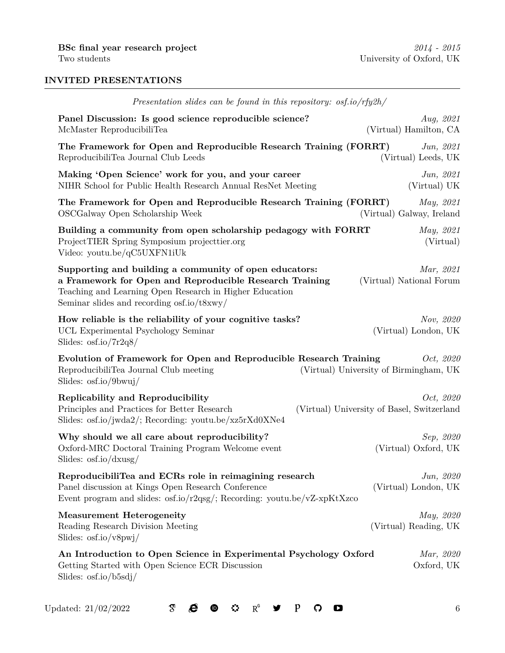# **INVITED PRESENTATIONS**

| Presentation slides can be found in this repository: osf.io/rfy2h/                                                               |
|----------------------------------------------------------------------------------------------------------------------------------|
| Aug, 2021<br>(Virtual) Hamilton, CA                                                                                              |
| The Framework for Open and Reproducible Research Training (FORRT)<br>Jun, 2021<br>(Virtual) Leeds, UK                            |
| Jun, 2021<br>(Virtual) UK                                                                                                        |
| The Framework for Open and Reproducible Research Training (FORRT)<br>May, 2021<br>(Virtual) Galway, Ireland                      |
| May, 2021<br>(Virtual)                                                                                                           |
| Mar, 2021<br>(Virtual) National Forum                                                                                            |
| Nov, 2020<br>(Virtual) London, UK                                                                                                |
| Evolution of Framework for Open and Reproducible Research Training<br><i>Oct, 2020</i><br>(Virtual) University of Birmingham, UK |
| Oct, 2020<br>(Virtual) University of Basel, Switzerland                                                                          |
| Sep, 2020<br>(Virtual) Oxford, UK                                                                                                |
| Jun, 2020<br>(Virtual) London, UK                                                                                                |
| May, 2020<br>(Virtual) Reading, UK                                                                                               |
| An Introduction to Open Science in Experimental Psychology Oxford<br>Mar, 2020<br>Oxford, UK                                     |
| Building a community from open scholarship pedagogy with FORRT                                                                   |

Updated:  $21/02/2022$   $\qquad \qquad \mathfrak{A}$   $\qquad \qquad \mathfrak{B}$   $\qquad \qquad \mathfrak{B}$   $\qquad \qquad \mathfrak{B}$   $\qquad \qquad \mathfrak{C}$   $\qquad \qquad \mathfrak{C}$   $\qquad \qquad \mathfrak{D}$   $\qquad \qquad \qquad \qquad \qquad 6$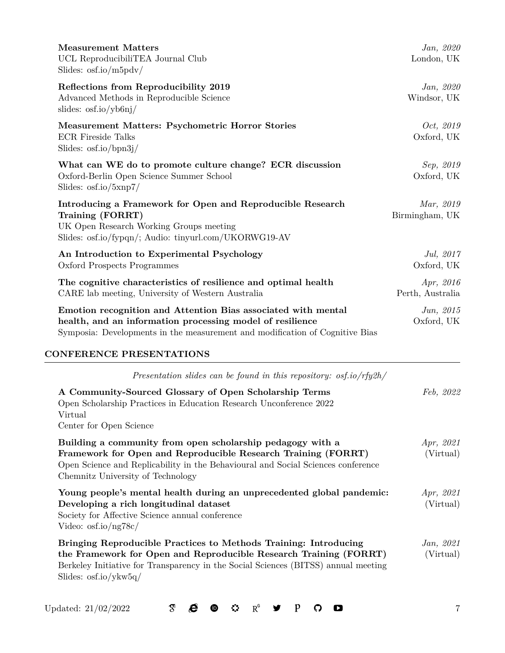| <b>Measurement Matters</b><br>UCL ReproducibiliTEA Journal Club<br>Slides: $\frac{\text{os(}10\text{/m5pdv}}{$                                                                                                                                                             | Jan, 2020<br>London, UK        |
|----------------------------------------------------------------------------------------------------------------------------------------------------------------------------------------------------------------------------------------------------------------------------|--------------------------------|
| Reflections from Reproducibility 2019<br>Advanced Methods in Reproducible Science<br>slides: $\frac{\text{os(}10}{\text{ybb(1)}}$                                                                                                                                          | Jan, 2020<br>Windsor, UK       |
| <b>Measurement Matters: Psychometric Horror Stories</b><br><b>ECR Fireside Talks</b><br>Slides: $\frac{\text{os(}10}{\text{ppn3j}}$                                                                                                                                        | <i>Oct, 2019</i><br>Oxford, UK |
| What can WE do to promote culture change? ECR discussion<br>Oxford-Berlin Open Science Summer School<br>Slides: $\frac{\text{osf.io}}{\text{exp7}}$                                                                                                                        | Sep, 2019<br>Oxford, UK        |
| Introducing a Framework for Open and Reproducible Research<br>Training (FORRT)<br>UK Open Research Working Groups meeting<br>Slides: osf.io/fypqn/; Audio: tinyurl.com/UKORWG19-AV                                                                                         | Mar, 2019<br>Birmingham, UK    |
| An Introduction to Experimental Psychology<br>Oxford Prospects Programmes                                                                                                                                                                                                  | Jul, $2017$<br>Oxford, UK      |
| The cognitive characteristics of resilience and optimal health<br>CARE lab meeting, University of Western Australia                                                                                                                                                        | Apr, 2016<br>Perth, Australia  |
| Emotion recognition and Attention Bias associated with mental<br>health, and an information processing model of resilience<br>Symposia: Developments in the measurement and modification of Cognitive Bias                                                                 | Jun, 2015<br>Oxford, UK        |
| <b>CONFERENCE PRESENTATIONS</b>                                                                                                                                                                                                                                            |                                |
| Presentation slides can be found in this repository: osf.io/rfy2h/                                                                                                                                                                                                         |                                |
| A Community-Sourced Glossary of Open Scholarship Terms<br>Open Scholarship Practices in Education Research Unconference 2022<br>Virtual<br>Center for Open Science                                                                                                         | Feb, 2022                      |
| Building a community from open scholarship pedagogy with a<br>Framework for Open and Reproducible Research Training (FORRT)<br>Open Science and Replicability in the Behavioural and Social Sciences conference<br>Chemnitz University of Technology                       | Apr, 2021<br>(Virtual)         |
| Young people's mental health during an unprecedented global pandemic:<br>Developing a rich longitudinal dataset<br>Society for Affective Science annual conference<br>Video: $\text{osf.io} / \text{ng78c}$                                                                | Apr, 2021<br>(Virtual)         |
| Bringing Reproducible Practices to Methods Training: Introducing<br>the Framework for Open and Reproducible Research Training (FORRT)<br>Berkeley Initiative for Transparency in the Social Sciences (BITSS) annual meeting<br>Slides: $\frac{\text{osfio}}{\text{ykw5q}}$ | Jan, 2021<br>(Virtual)         |

Updated: 21/02/2022  $\sigma$   $\sigma$   $\sigma$   $\sigma$   $\sigma$   $\sigma$   $P$   $\sigma$   $\sigma$  7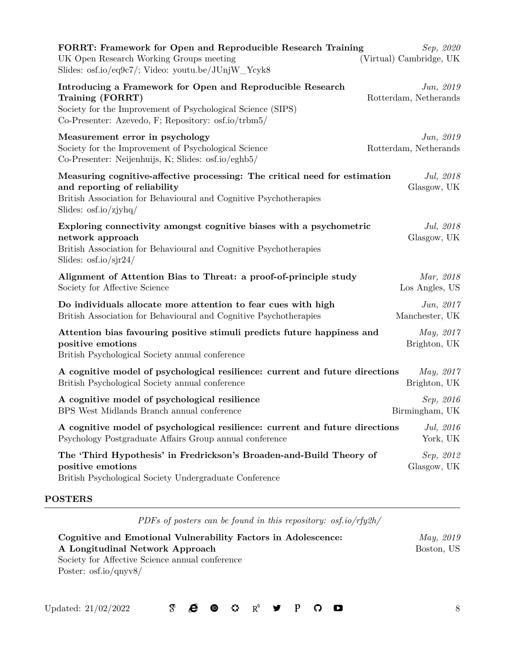| FORRT: Framework for Open and Reproducible Research Training<br>Sep, 2020<br>UK Open Research Working Groups meeting<br>(Virtual) Cambridge, UK<br>Slides: osf.io/eq9c7/; Video: youtu.be/JUnjW_Ycyk8                                                      |
|------------------------------------------------------------------------------------------------------------------------------------------------------------------------------------------------------------------------------------------------------------|
| Introducing a Framework for Open and Reproducible Research<br>Jun, 2019<br>Training (FORRT)<br>Rotterdam, Netherands<br>Society for the Improvement of Psychological Science (SIPS)<br>Co-Presenter: Azevedo, F; Repository: $\text{osf.io/trbm5}/$        |
| Measurement error in psychology<br>Jun, 2019<br>Society for the Improvement of Psychological Science<br>Rotterdam, Netherands<br>Co-Presenter: Neijenhuijs, K; Slides: osf.io/eghb5/                                                                       |
| Measuring cognitive-affective processing: The critical need for estimation<br>Jul, 2018<br>and reporting of reliability<br>Glasgow, UK<br>British Association for Behavioural and Cognitive Psychotherapies<br>Slides: $\frac{\text{osfio}}{\text{zjyhq}}$ |
| Exploring connectivity amongst cognitive biases with a psychometric<br>Jul, 2018<br>network approach<br>Glasgow, UK<br>British Association for Behavioural and Cognitive Psychotherapies<br>Slides: $\frac{\text{osfio}}{\text{sjr24}}$                    |
| Alignment of Attention Bias to Threat: a proof-of-principle study<br>Mar, 2018<br>Los Angles, US<br>Society for Affective Science                                                                                                                          |
| Jun, 2017<br>Do individuals allocate more attention to fear cues with high<br>British Association for Behavioural and Cognitive Psychotherapies<br>Manchester, UK                                                                                          |
| Attention bias favouring positive stimuli predicts future happiness and<br>May, 2017<br>positive emotions<br>Brighton, UK<br>British Psychological Society annual conference                                                                               |
| A cognitive model of psychological resilience: current and future directions<br>May, 2017<br>British Psychological Society annual conference<br>Brighton, UK                                                                                               |
| A cognitive model of psychological resilience<br>Sep, 2016<br>BPS West Midlands Branch annual conference<br>Birmingham, UK                                                                                                                                 |
| A cognitive model of psychological resilience: current and future directions<br>Jul, 2016<br>Psychology Postgraduate Affairs Group annual conference<br>York, UK                                                                                           |
| The 'Third Hypothesis' in Fredrickson's Broaden-and-Build Theory of<br>Sep, 2012<br>positive emotions<br>Glasgow, UK<br>British Psychological Society Undergraduate Conference                                                                             |

# **POSTERS**

*PDFs of posters can be found in this repository: [osf.io/rfy2h/](https://osf.io/rfy2h/)*

**Cognitive and Emotional Vulnerability Factors in Adolescence:** *May, 2019* **A Longitudinal Network Approach** Boston, US Society for Affective Science annual conference Poster: [osf.io/qnyv8/](https://osf.io/qnyv8/)

Updated: 21/02/2022  $\sigma$   $\mathcal{B}$   $\mathcal{C}$   $\sigma$   $\mathcal{C}$   $\mathbb{R}^6$   $\mathcal{Y}$   $P$   $\mathcal{O}$   $\mathcal{D}$  8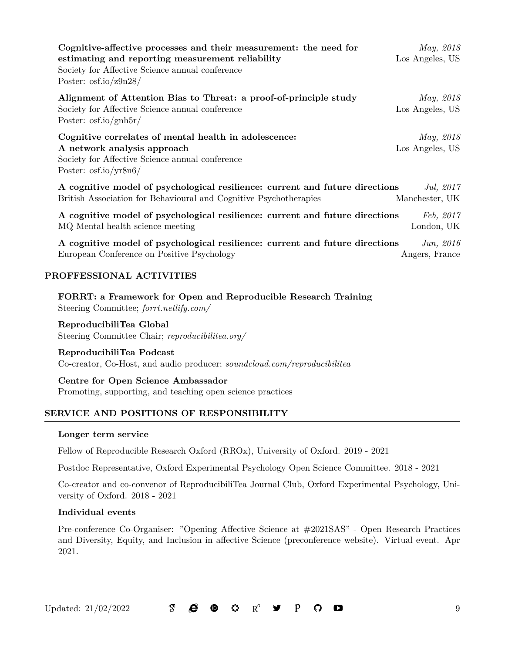| Cognitive-affective processes and their measurement: the need for<br>estimating and reporting measurement reliability<br>Society for Affective Science annual conference<br>Poster: $\frac{\text{os}_1}{\text{os}_2}$ | May, 2018<br>Los Angeles, US |
|-----------------------------------------------------------------------------------------------------------------------------------------------------------------------------------------------------------------------|------------------------------|
| Alignment of Attention Bias to Threat: a proof-of-principle study                                                                                                                                                     | <i>May, 2018</i>             |
| Society for Affective Science annual conference<br>Poster: $\frac{\text{os}_\text{ion}}{\text{on}}$                                                                                                                   | Los Angeles, US              |
| Cognitive correlates of mental health in adolescence:                                                                                                                                                                 | <i>May</i> , 2018            |
| A network analysis approach<br>Society for Affective Science annual conference<br>Poster: $\frac{\text{os}_1}{\text{os}_2}$                                                                                           | Los Angeles, US              |
| A cognitive model of psychological resilience: current and future directions                                                                                                                                          | Jul, $2017$                  |
| British Association for Behavioural and Cognitive Psychotherapies                                                                                                                                                     | Manchester, UK               |
| A cognitive model of psychological resilience: current and future directions                                                                                                                                          | Feb. 2017                    |
| MQ Mental health science meeting                                                                                                                                                                                      | London, UK                   |

**A cognitive model of psychological resilience: current and future directions** *Jun, 2016* European Conference on Positive Psychology Angers, France

### **PROFFESSIONAL ACTIVITIES**

**FORRT: a Framework for Open and Reproducible Research Training** Steering Committee; *[forrt.netlify.com/](https://forrt.netlify.com/)*

**ReproducibiliTea Global** Steering Committee Chair; *[reproducibilitea.org/](https://reproducibilitea.org/)*

**ReproducibiliTea Podcast** Co-creator, Co-Host, and audio producer; *[soundcloud.com/reproducibilitea](https://soundcloud.com/reproducibilitea)*

**Centre for Open Science Ambassador** Promoting, supporting, and teaching open science practices

### **SERVICE AND POSITIONS OF RESPONSIBILITY**

#### **Longer term service**

Fellow of Reproducible Research Oxford (RROx), University of Oxford. 2019 - 2021

Postdoc Representative, Oxford Experimental Psychology Open Science Committee. 2018 - 2021

Co-creator and co-convenor of ReproducibiliTea Journal Club, Oxford Experimental Psychology, University of Oxford. 2018 - 2021

#### **Individual events**

Pre-conference Co-Organiser: "Opening Affective Science at #2021SAS" - Open Research Practices and Diversity, Equity, and Inclusion in affective Science ([preconference website](https://society-for-affective-science.org/conferences/2021-sas-annual-conference/preconferences/)). Virtual event. Apr 2021.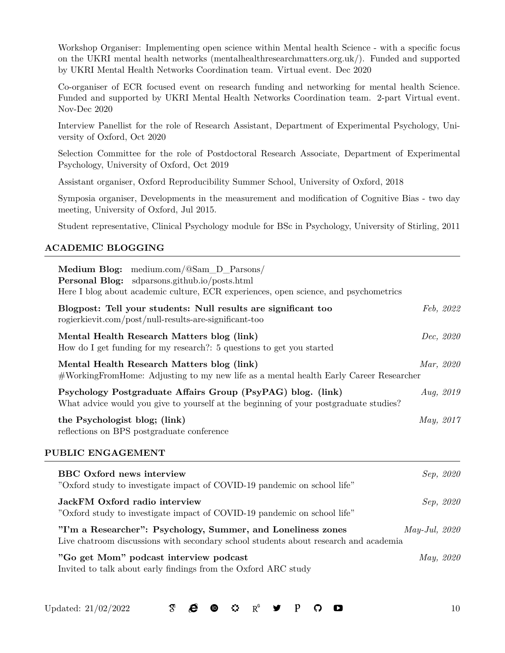Workshop Organiser: Implementing open science within Mental health Science - with a specific focus on the UKRI mental health networks [\(mentalhealthresearchmatters.org.uk/](http://mentalhealthresearchmatters.org.uk/)). Funded and supported by UKRI Mental Health Networks Coordination team. Virtual event. Dec 2020

Co-organiser of ECR focused event on research funding and networking for mental health Science. Funded and supported by UKRI Mental Health Networks Coordination team. 2-part Virtual event. Nov-Dec 2020

Interview Panellist for the role of Research Assistant, Department of Experimental Psychology, University of Oxford, Oct 2020

Selection Committee for the role of Postdoctoral Research Associate, Department of Experimental Psychology, University of Oxford, Oct 2019

Assistant organiser, Oxford Reproducibility Summer School, University of Oxford, 2018

Symposia organiser, Developments in the measurement and modification of Cognitive Bias - two day meeting, University of Oxford, Jul 2015.

Student representative, Clinical Psychology module for BSc in Psychology, University of Stirling, 2011

### **ACADEMIC BLOGGING**

| Medium Blog: medium.com/@Sam_D_Parsons/<br><b>Personal Blog:</b> sdparsons.github.io/posts.html<br>Here I blog about academic culture, ECR experiences, open science, and psychometrics |                    |           |
|-----------------------------------------------------------------------------------------------------------------------------------------------------------------------------------------|--------------------|-----------|
| Blogpost: Tell your students: Null results are significant too<br>rogierkievit.com/post/null-results-are-significant-too                                                                |                    | Feb, 2022 |
| Mental Health Research Matters blog (link)<br>How do I get funding for my research?: 5 questions to get you started                                                                     |                    | Dec, 2020 |
| Mental Health Research Matters blog (link)<br>#WorkingFromHome: Adjusting to my new life as a mental health Early Career Researcher                                                     | Mar, 2020          |           |
| Psychology Postgraduate Affairs Group (PsyPAG) blog. (link)<br>What advice would you give to yourself at the beginning of your postgraduate studies?                                    |                    | Aug, 2019 |
| the Psychologist blog; (link)<br>reflections on BPS postgraduate conference                                                                                                             | May, 2017          |           |
| PUBLIC ENGAGEMENT                                                                                                                                                                       |                    |           |
| <b>BBC</b> Oxford news interview<br>"Oxford study to investigate impact of COVID-19 pandemic on school life"                                                                            |                    | Sep, 2020 |
| JackFM Oxford radio interview<br>"Oxford study to investigate impact of COVID-19 pandemic on school life"                                                                               |                    | Sep, 2020 |
| "I'm a Researcher": Psychology, Summer, and Loneliness zones<br>Live chatroom discussions with secondary school students about research and academia                                    | $May$ -Jul, $2020$ |           |
| "Go get Mom" podcast interview podcast<br>Invited to talk about early findings from the Oxford ARC study                                                                                | May, 2020          |           |

Updated: 21/02/2022 10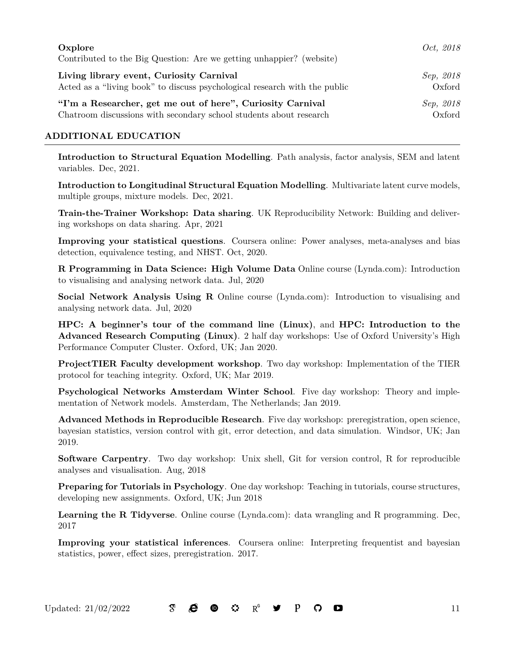| Oxplore<br>Contributed to the Big Question: Are we getting unhappier? (website) | Oct. 2018 |
|---------------------------------------------------------------------------------|-----------|
| Living library event, Curiosity Carnival                                        | Sep, 2018 |
| Acted as a "living book" to discuss psychological research with the public      | Oxford    |
| "I'm a Researcher, get me out of here", Curiosity Carnival                      | Sep, 2018 |
| Chatroom discussions with secondary school students about research              | Oxford    |

# **ADDITIONAL EDUCATION**

**Introduction to Structural Equation Modelling**. Path analysis, factor analysis, SEM and latent variables. Dec, 2021.

**Introduction to Longitudinal Structural Equation Modelling**. Multivariate latent curve models, multiple groups, mixture models. Dec, 2021.

**Train-the-Trainer Workshop: Data sharing**. UK Reproducibility Network: Building and delivering workshops on data sharing. Apr, 2021

**Improving your statistical questions**. Coursera online: Power analyses, meta-analyses and bias detection, equivalence testing, and NHST. Oct, 2020.

**R Programming in Data Science: High Volume Data** Online course (Lynda.com): Introduction to visualising and analysing network data. Jul, 2020

**Social Network Analysis Using R** Online course (Lynda.com): Introduction to visualising and analysing network data. Jul, 2020

**HPC: A beginner's tour of the command line (Linux)**, and **HPC: Introduction to the Advanced Research Computing (Linux)**. 2 half day workshops: Use of Oxford University's High Performance Computer Cluster. Oxford, UK; Jan 2020.

**ProjectTIER Faculty development workshop**. Two day workshop: Implementation of the TIER protocol for teaching integrity. Oxford, UK; Mar 2019.

**Psychological Networks Amsterdam Winter School**. Five day workshop: Theory and implementation of Network models. Amsterdam, The Netherlands; Jan 2019.

**Advanced Methods in Reproducible Research**. Five day workshop: preregistration, open science, bayesian statistics, version control with git, error detection, and data simulation. Windsor, UK; Jan 2019.

**Software Carpentry**. Two day workshop: Unix shell, Git for version control, R for reproducible analyses and visualisation. Aug, 2018

**Preparing for Tutorials in Psychology.** One day workshop: Teaching in tutorials, course structures, developing new assignments. Oxford, UK; Jun 2018

**Learning the R Tidyverse**. Online course (Lynda.com): data wrangling and R programming. Dec, 2017

**Improving your statistical inferences**. Coursera online: Interpreting frequentist and bayesian statistics, power, effect sizes, preregistration. 2017.

Updated:  $21/02/2022$  **3 &**  $\bullet$   $\bullet$   $\bullet$   $\bullet$  **y**  $\bullet$  **0**  $\bullet$  11